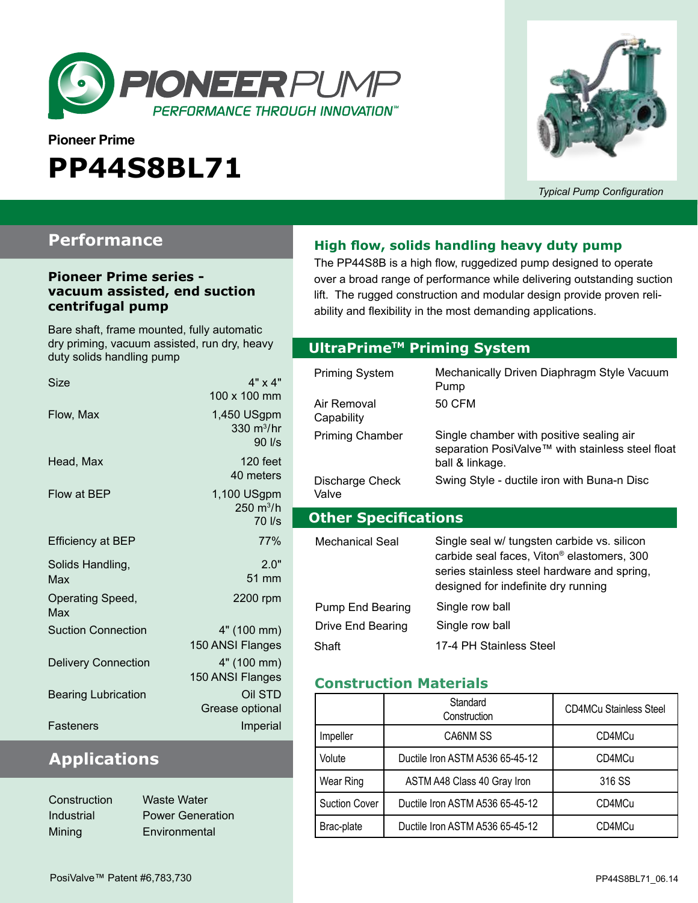

# **Pioneer Prime PP44S8BL71**



*Typical Pump Configuration*

### **Performance**

#### **Pioneer Prime series vacuum assisted, end suction centrifugal pump**

Bare shaft, frame mounted, fully automatic dry priming, vacuum assisted, run dry, heavy duty solids handling pump

| Size                       | $4" \times 4"$<br>100 x 100 mm                  |
|----------------------------|-------------------------------------------------|
| Flow, Max                  | 1,450 USgpm<br>330 m <sup>3</sup> /hr<br>90 l/s |
| Head, Max                  | $120$ feet<br>40 meters                         |
| Flow at BEP                | 1,100 USgpm<br>250 $m^3/h$<br>70 l/s            |
| <b>Efficiency at BEP</b>   | 77%                                             |
| Solids Handling,<br>Max    | 2.0"<br>51 mm                                   |
| Operating Speed,<br>Max    | 2200 rpm                                        |
| <b>Suction Connection</b>  | 4" (100 mm)<br>150 ANSI Flanges                 |
| <b>Delivery Connection</b> | 4" (100 mm)<br>150 ANSI Flanges                 |
| <b>Bearing Lubrication</b> | Oil STD<br>Grease optional                      |
| Fasteners                  | Imperial                                        |

## **Applications**

| Construction | <b>Waste Water</b>      |
|--------------|-------------------------|
| Industrial   | <b>Power Generation</b> |
| Mining       | Environmental           |

### **High flow, solids handling heavy duty pump**

The PP44S8B is a high flow, ruggedized pump designed to operate over a broad range of performance while delivering outstanding suction lift. The rugged construction and modular design provide proven reliability and flexibility in the most demanding applications.

### **Optional Priming System UltraPrimeTM Priming System**

| Priming System              | Mechanically Driven Diaphragm Style Vacuum<br>Pump                                                                                                                                          |
|-----------------------------|---------------------------------------------------------------------------------------------------------------------------------------------------------------------------------------------|
| Air Removal<br>Capability   | 50 CFM                                                                                                                                                                                      |
| <b>Priming Chamber</b>      | Single chamber with positive sealing air<br>separation PosiValve™ with stainless steel float<br>ball & linkage.                                                                             |
| Discharge Check<br>Valve    | Swing Style - ductile iron with Buna-n Disc                                                                                                                                                 |
|                             |                                                                                                                                                                                             |
| <b>Other Specifications</b> |                                                                                                                                                                                             |
| Mechanical Seal             | Single seal w/ tungsten carbide vs. silicon<br>carbide seal faces, Viton <sup>®</sup> elastomers, 300<br>series stainless steel hardware and spring,<br>designed for indefinite dry running |
| Pump End Bearing            | Single row ball                                                                                                                                                                             |
| Drive End Bearing           | Single row ball                                                                                                                                                                             |

#### **Construction Materials**

|                      | Standard<br>Construction        | <b>CD4MCu Stainless Steel</b> |
|----------------------|---------------------------------|-------------------------------|
| Impeller             | CA6NM SS                        | CD4MCu                        |
| Volute               | Ductile Iron ASTM A536 65-45-12 | CD4MCu                        |
| Wear Ring            | ASTM A48 Class 40 Gray Iron     | 316 SS                        |
| <b>Suction Cover</b> | Ductile Iron ASTM A536 65-45-12 | CD4MCu                        |
| Brac-plate           | Ductile Iron ASTM A536 65-45-12 | CD4MCu                        |